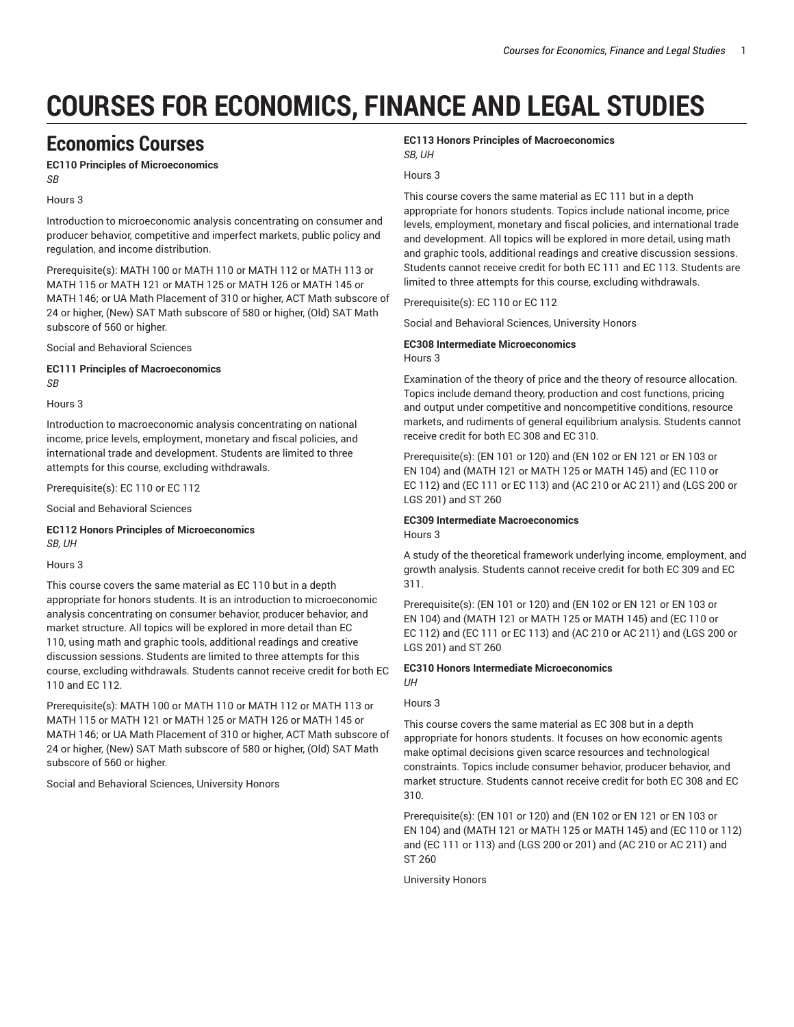# **COURSES FOR ECONOMICS, FINANCE AND LEGAL STUDIES**

# **Economics Courses**

**EC110 Principles of Microeconomics** *SB*

Hours 3

Introduction to microeconomic analysis concentrating on consumer and producer behavior, competitive and imperfect markets, public policy and regulation, and income distribution.

Prerequisite(s): MATH 100 or MATH 110 or MATH 112 or MATH 113 or MATH 115 or MATH 121 or MATH 125 or MATH 126 or MATH 145 or MATH 146; or UA Math Placement of 310 or higher, ACT Math subscore of 24 or higher, (New) SAT Math subscore of 580 or higher, (Old) SAT Math subscore of 560 or higher.

Social and Behavioral Sciences

**EC111 Principles of Macroeconomics** *SB*

Hours 3

Introduction to macroeconomic analysis concentrating on national income, price levels, employment, monetary and fiscal policies, and international trade and development. Students are limited to three attempts for this course, excluding withdrawals.

Prerequisite(s): EC 110 or EC 112

Social and Behavioral Sciences

**EC112 Honors Principles of Microeconomics** *SB, UH*

#### Hours 3

This course covers the same material as EC 110 but in a depth appropriate for honors students. It is an introduction to microeconomic analysis concentrating on consumer behavior, producer behavior, and market structure. All topics will be explored in more detail than EC 110, using math and graphic tools, additional readings and creative discussion sessions. Students are limited to three attempts for this course, excluding withdrawals. Students cannot receive credit for both EC 110 and EC 112.

Prerequisite(s): MATH 100 or MATH 110 or MATH 112 or MATH 113 or MATH 115 or MATH 121 or MATH 125 or MATH 126 or MATH 145 or MATH 146; or UA Math Placement of 310 or higher, ACT Math subscore of 24 or higher, (New) SAT Math subscore of 580 or higher, (Old) SAT Math subscore of 560 or higher.

Social and Behavioral Sciences, University Honors

#### **EC113 Honors Principles of Macroeconomics** *SB, UH*

#### Hours 3

This course covers the same material as EC 111 but in a depth appropriate for honors students. Topics include national income, price levels, employment, monetary and fiscal policies, and international trade and development. All topics will be explored in more detail, using math and graphic tools, additional readings and creative discussion sessions. Students cannot receive credit for both EC 111 and EC 113. Students are limited to three attempts for this course, excluding withdrawals.

Prerequisite(s): EC 110 or EC 112

Social and Behavioral Sciences, University Honors

#### **EC308 Intermediate Microeconomics** Hours 3

Examination of the theory of price and the theory of resource allocation. Topics include demand theory, production and cost functions, pricing and output under competitive and noncompetitive conditions, resource markets, and rudiments of general equilibrium analysis. Students cannot receive credit for both EC 308 and EC 310.

Prerequisite(s): (EN 101 or 120) and (EN 102 or EN 121 or EN 103 or EN 104) and (MATH 121 or MATH 125 or MATH 145) and (EC 110 or EC 112) and (EC 111 or EC 113) and (AC 210 or AC 211) and (LGS 200 or LGS 201) and ST 260

# **EC309 Intermediate Macroeconomics**

Hours 3

A study of the theoretical framework underlying income, employment, and growth analysis. Students cannot receive credit for both EC 309 and EC 311.

Prerequisite(s): (EN 101 or 120) and (EN 102 or EN 121 or EN 103 or EN 104) and (MATH 121 or MATH 125 or MATH 145) and (EC 110 or EC 112) and (EC 111 or EC 113) and (AC 210 or AC 211) and (LGS 200 or LGS 201) and ST 260

#### **EC310 Honors Intermediate Microeconomics**

#### Hours 3

*UH*

This course covers the same material as EC 308 but in a depth appropriate for honors students. It focuses on how economic agents make optimal decisions given scarce resources and technological constraints. Topics include consumer behavior, producer behavior, and market structure. Students cannot receive credit for both EC 308 and EC 310.

Prerequisite(s): (EN 101 or 120) and (EN 102 or EN 121 or EN 103 or EN 104) and (MATH 121 or MATH 125 or MATH 145) and (EC 110 or 112) and (EC 111 or 113) and (LGS 200 or 201) and (AC 210 or AC 211) and ST 260

University Honors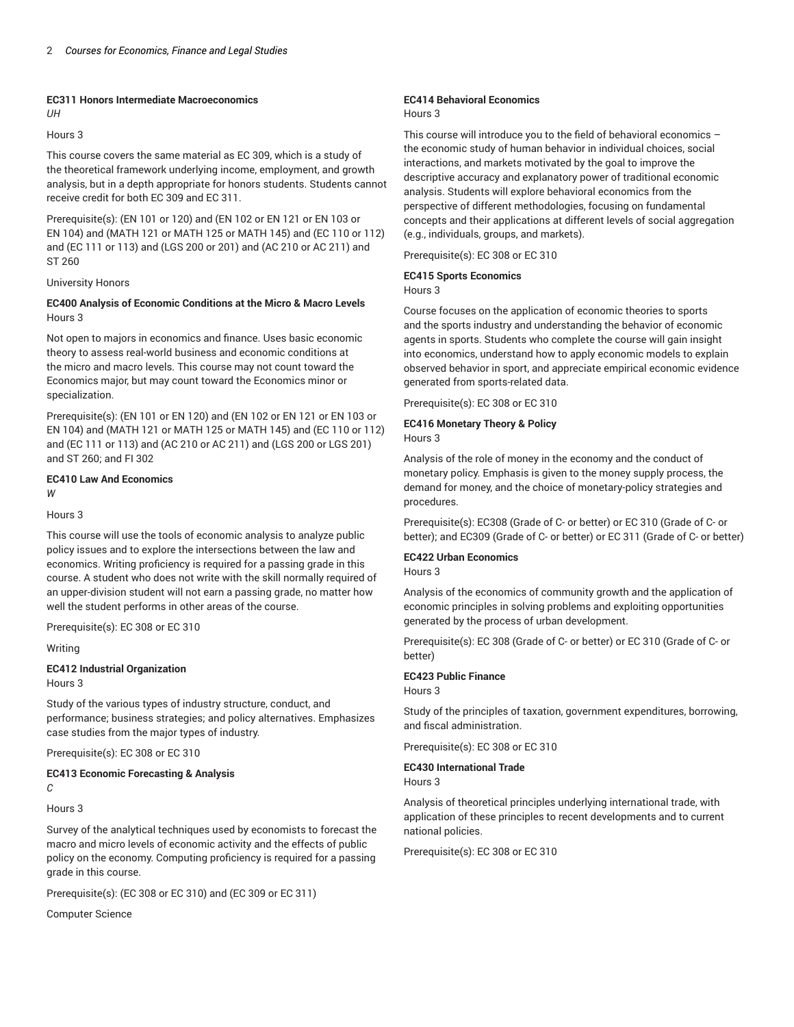# **EC311 Honors Intermediate Macroeconomics**

### *UH*

#### Hours 3

This course covers the same material as EC 309, which is a study of the theoretical framework underlying income, employment, and growth analysis, but in a depth appropriate for honors students. Students cannot receive credit for both EC 309 and EC 311.

Prerequisite(s): (EN 101 or 120) and (EN 102 or EN 121 or EN 103 or EN 104) and (MATH 121 or MATH 125 or MATH 145) and (EC 110 or 112) and (EC 111 or 113) and (LGS 200 or 201) and (AC 210 or AC 211) and ST 260

#### University Honors

#### **EC400 Analysis of Economic Conditions at the Micro & Macro Levels** Hours 3

Not open to majors in economics and finance. Uses basic economic theory to assess real-world business and economic conditions at the micro and macro levels. This course may not count toward the Economics major, but may count toward the Economics minor or specialization.

Prerequisite(s): (EN 101 or EN 120) and (EN 102 or EN 121 or EN 103 or EN 104) and (MATH 121 or MATH 125 or MATH 145) and (EC 110 or 112) and (EC 111 or 113) and (AC 210 or AC 211) and (LGS 200 or LGS 201) and ST 260; and FI 302

#### **EC410 Law And Economics**

*W*

#### Hours 3

This course will use the tools of economic analysis to analyze public policy issues and to explore the intersections between the law and economics. Writing proficiency is required for a passing grade in this course. A student who does not write with the skill normally required of an upper-division student will not earn a passing grade, no matter how well the student performs in other areas of the course.

Prerequisite(s): EC 308 or EC 310

#### Writing

#### **EC412 Industrial Organization**

Hours 3

Study of the various types of industry structure, conduct, and performance; business strategies; and policy alternatives. Emphasizes case studies from the major types of industry.

Prerequisite(s): EC 308 or EC 310

#### **EC413 Economic Forecasting & Analysis** *C*

Hours 3

Survey of the analytical techniques used by economists to forecast the macro and micro levels of economic activity and the effects of public policy on the economy. Computing proficiency is required for a passing grade in this course.

Prerequisite(s): (EC 308 or EC 310) and (EC 309 or EC 311)

Computer Science

#### **EC414 Behavioral Economics** Hours 3

This course will introduce you to the field of behavioral economics – the economic study of human behavior in individual choices, social interactions, and markets motivated by the goal to improve the descriptive accuracy and explanatory power of traditional economic analysis. Students will explore behavioral economics from the perspective of different methodologies, focusing on fundamental concepts and their applications at different levels of social aggregation (e.g., individuals, groups, and markets).

Prerequisite(s): EC 308 or EC 310

# **EC415 Sports Economics**

## Hours 3

Course focuses on the application of economic theories to sports and the sports industry and understanding the behavior of economic agents in sports. Students who complete the course will gain insight into economics, understand how to apply economic models to explain observed behavior in sport, and appreciate empirical economic evidence generated from sports-related data.

Prerequisite(s): EC 308 or EC 310

# **EC416 Monetary Theory & Policy**

Hours 3

Analysis of the role of money in the economy and the conduct of monetary policy. Emphasis is given to the money supply process, the demand for money, and the choice of monetary-policy strategies and procedures.

Prerequisite(s): EC308 (Grade of C- or better) or EC 310 (Grade of C- or better); and EC309 (Grade of C- or better) or EC 311 (Grade of C- or better)

#### **EC422 Urban Economics**

Hours 3

Analysis of the economics of community growth and the application of economic principles in solving problems and exploiting opportunities generated by the process of urban development.

Prerequisite(s): EC 308 (Grade of C- or better) or EC 310 (Grade of C- or better)

#### **EC423 Public Finance**

Hours 3

Study of the principles of taxation, government expenditures, borrowing, and fiscal administration.

Prerequisite(s): EC 308 or EC 310

**EC430 International Trade**

Hours 3

Analysis of theoretical principles underlying international trade, with application of these principles to recent developments and to current national policies.

Prerequisite(s): EC 308 or EC 310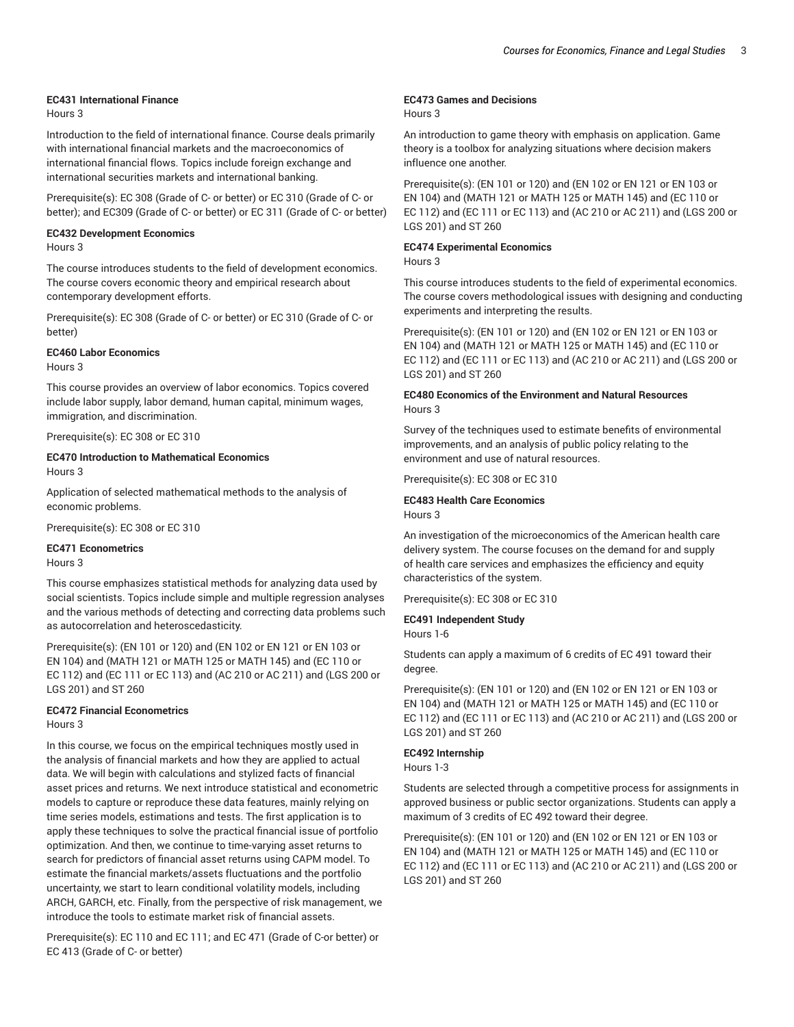#### **EC431 International Finance**

Hours 3

Introduction to the field of international finance. Course deals primarily with international financial markets and the macroeconomics of international financial flows. Topics include foreign exchange and international securities markets and international banking.

Prerequisite(s): EC 308 (Grade of C- or better) or EC 310 (Grade of C- or better); and EC309 (Grade of C- or better) or EC 311 (Grade of C- or better)

# **EC432 Development Economics**

Hours 3

The course introduces students to the field of development economics. The course covers economic theory and empirical research about contemporary development efforts.

Prerequisite(s): EC 308 (Grade of C- or better) or EC 310 (Grade of C- or better)

#### **EC460 Labor Economics**

Hours 3

This course provides an overview of labor economics. Topics covered include labor supply, labor demand, human capital, minimum wages, immigration, and discrimination.

Prerequisite(s): EC 308 or EC 310

#### **EC470 Introduction to Mathematical Economics** Hours 3

Application of selected mathematical methods to the analysis of economic problems.

Prerequisite(s): EC 308 or EC 310

#### **EC471 Econometrics**

Hours 3

This course emphasizes statistical methods for analyzing data used by social scientists. Topics include simple and multiple regression analyses and the various methods of detecting and correcting data problems such as autocorrelation and heteroscedasticity.

Prerequisite(s): (EN 101 or 120) and (EN 102 or EN 121 or EN 103 or EN 104) and (MATH 121 or MATH 125 or MATH 145) and (EC 110 or EC 112) and (EC 111 or EC 113) and (AC 210 or AC 211) and (LGS 200 or LGS 201) and ST 260

# **EC472 Financial Econometrics**

Hours 3

In this course, we focus on the empirical techniques mostly used in the analysis of financial markets and how they are applied to actual data. We will begin with calculations and stylized facts of financial asset prices and returns. We next introduce statistical and econometric models to capture or reproduce these data features, mainly relying on time series models, estimations and tests. The first application is to apply these techniques to solve the practical financial issue of portfolio optimization. And then, we continue to time-varying asset returns to search for predictors of financial asset returns using CAPM model. To estimate the financial markets/assets fluctuations and the portfolio uncertainty, we start to learn conditional volatility models, including ARCH, GARCH, etc. Finally, from the perspective of risk management, we introduce the tools to estimate market risk of financial assets.

Prerequisite(s): EC 110 and EC 111; and EC 471 (Grade of C-or better) or EC 413 (Grade of C- or better)

#### **EC473 Games and Decisions**

#### Hours 3

An introduction to game theory with emphasis on application. Game theory is a toolbox for analyzing situations where decision makers influence one another.

Prerequisite(s): (EN 101 or 120) and (EN 102 or EN 121 or EN 103 or EN 104) and (MATH 121 or MATH 125 or MATH 145) and (EC 110 or EC 112) and (EC 111 or EC 113) and (AC 210 or AC 211) and (LGS 200 or LGS 201) and ST 260

#### **EC474 Experimental Economics**

Hours 3

This course introduces students to the field of experimental economics. The course covers methodological issues with designing and conducting experiments and interpreting the results.

Prerequisite(s): (EN 101 or 120) and (EN 102 or EN 121 or EN 103 or EN 104) and (MATH 121 or MATH 125 or MATH 145) and (EC 110 or EC 112) and (EC 111 or EC 113) and (AC 210 or AC 211) and (LGS 200 or LGS 201) and ST 260

#### **EC480 Economics of the Environment and Natural Resources** Hours 3

Survey of the techniques used to estimate benefits of environmental improvements, and an analysis of public policy relating to the environment and use of natural resources.

Prerequisite(s): EC 308 or EC 310

### **EC483 Health Care Economics**

Hours 3

An investigation of the microeconomics of the American health care delivery system. The course focuses on the demand for and supply of health care services and emphasizes the efficiency and equity characteristics of the system.

Prerequisite(s): EC 308 or EC 310

# **EC491 Independent Study**

Hours 1-6

Students can apply a maximum of 6 credits of EC 491 toward their degree.

Prerequisite(s): (EN 101 or 120) and (EN 102 or EN 121 or EN 103 or EN 104) and (MATH 121 or MATH 125 or MATH 145) and (EC 110 or EC 112) and (EC 111 or EC 113) and (AC 210 or AC 211) and (LGS 200 or LGS 201) and ST 260

#### **EC492 Internship**

Hours 1-3

Students are selected through a competitive process for assignments in approved business or public sector organizations. Students can apply a maximum of 3 credits of EC 492 toward their degree.

Prerequisite(s): (EN 101 or 120) and (EN 102 or EN 121 or EN 103 or EN 104) and (MATH 121 or MATH 125 or MATH 145) and (EC 110 or EC 112) and (EC 111 or EC 113) and (AC 210 or AC 211) and (LGS 200 or LGS 201) and ST 260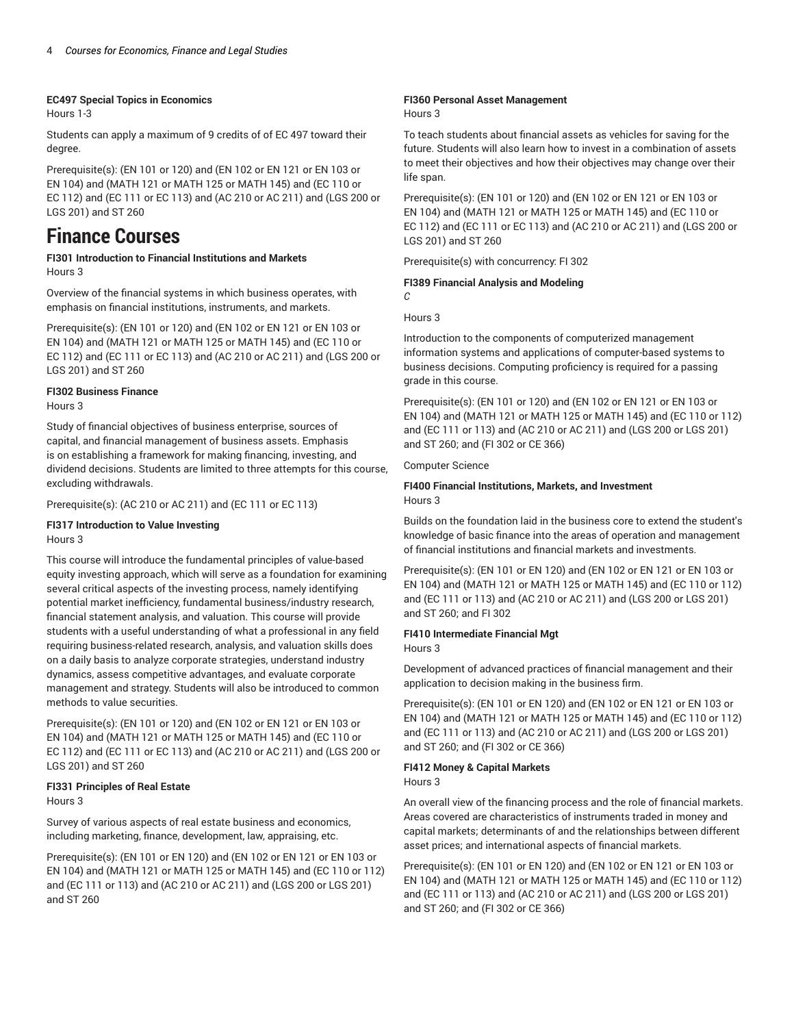#### **EC497 Special Topics in Economics**

Hours 1-3

Students can apply a maximum of 9 credits of of EC 497 toward their degree.

Prerequisite(s): (EN 101 or 120) and (EN 102 or EN 121 or EN 103 or EN 104) and (MATH 121 or MATH 125 or MATH 145) and (EC 110 or EC 112) and (EC 111 or EC 113) and (AC 210 or AC 211) and (LGS 200 or LGS 201) and ST 260

# **Finance Courses**

**FI301 Introduction to Financial Institutions and Markets** Hours 3

Overview of the financial systems in which business operates, with emphasis on financial institutions, instruments, and markets.

Prerequisite(s): (EN 101 or 120) and (EN 102 or EN 121 or EN 103 or EN 104) and (MATH 121 or MATH 125 or MATH 145) and (EC 110 or EC 112) and (EC 111 or EC 113) and (AC 210 or AC 211) and (LGS 200 or LGS 201) and ST 260

#### **FI302 Business Finance**

Hours 3

Study of financial objectives of business enterprise, sources of capital, and financial management of business assets. Emphasis is on establishing a framework for making financing, investing, and dividend decisions. Students are limited to three attempts for this course, excluding withdrawals.

Prerequisite(s): (AC 210 or AC 211) and (EC 111 or EC 113)

#### **FI317 Introduction to Value Investing** Hours 3

This course will introduce the fundamental principles of value-based equity investing approach, which will serve as a foundation for examining several critical aspects of the investing process, namely identifying potential market inefficiency, fundamental business/industry research, financial statement analysis, and valuation. This course will provide students with a useful understanding of what a professional in any field requiring business-related research, analysis, and valuation skills does on a daily basis to analyze corporate strategies, understand industry dynamics, assess competitive advantages, and evaluate corporate management and strategy. Students will also be introduced to common methods to value securities.

Prerequisite(s): (EN 101 or 120) and (EN 102 or EN 121 or EN 103 or EN 104) and (MATH 121 or MATH 125 or MATH 145) and (EC 110 or EC 112) and (EC 111 or EC 113) and (AC 210 or AC 211) and (LGS 200 or LGS 201) and ST 260

#### **FI331 Principles of Real Estate** Hours 3

Survey of various aspects of real estate business and economics, including marketing, finance, development, law, appraising, etc.

Prerequisite(s): (EN 101 or EN 120) and (EN 102 or EN 121 or EN 103 or EN 104) and (MATH 121 or MATH 125 or MATH 145) and (EC 110 or 112) and (EC 111 or 113) and (AC 210 or AC 211) and (LGS 200 or LGS 201) and ST 260

### **FI360 Personal Asset Management**

#### Hours 3

To teach students about financial assets as vehicles for saving for the future. Students will also learn how to invest in a combination of assets to meet their objectives and how their objectives may change over their life span.

Prerequisite(s): (EN 101 or 120) and (EN 102 or EN 121 or EN 103 or EN 104) and (MATH 121 or MATH 125 or MATH 145) and (EC 110 or EC 112) and (EC 111 or EC 113) and (AC 210 or AC 211) and (LGS 200 or LGS 201) and ST 260

Prerequisite(s) with concurrency: FI 302

#### **FI389 Financial Analysis and Modeling**

Hours 3

*C*

Introduction to the components of computerized management information systems and applications of computer-based systems to business decisions. Computing proficiency is required for a passing grade in this course.

Prerequisite(s): (EN 101 or 120) and (EN 102 or EN 121 or EN 103 or EN 104) and (MATH 121 or MATH 125 or MATH 145) and (EC 110 or 112) and (EC 111 or 113) and (AC 210 or AC 211) and (LGS 200 or LGS 201) and ST 260; and (FI 302 or CE 366)

#### Computer Science

#### **FI400 Financial Institutions, Markets, and Investment** Hours 3

Builds on the foundation laid in the business core to extend the student's knowledge of basic finance into the areas of operation and management of financial institutions and financial markets and investments.

Prerequisite(s): (EN 101 or EN 120) and (EN 102 or EN 121 or EN 103 or EN 104) and (MATH 121 or MATH 125 or MATH 145) and (EC 110 or 112) and (EC 111 or 113) and (AC 210 or AC 211) and (LGS 200 or LGS 201) and ST 260; and FI 302

#### **FI410 Intermediate Financial Mgt**

Hours 3

Development of advanced practices of financial management and their application to decision making in the business firm.

Prerequisite(s): (EN 101 or EN 120) and (EN 102 or EN 121 or EN 103 or EN 104) and (MATH 121 or MATH 125 or MATH 145) and (EC 110 or 112) and (EC 111 or 113) and (AC 210 or AC 211) and (LGS 200 or LGS 201) and ST 260; and (FI 302 or CE 366)

#### **FI412 Money & Capital Markets**

Hours 3

An overall view of the financing process and the role of financial markets. Areas covered are characteristics of instruments traded in money and capital markets; determinants of and the relationships between different asset prices; and international aspects of financial markets.

Prerequisite(s): (EN 101 or EN 120) and (EN 102 or EN 121 or EN 103 or EN 104) and (MATH 121 or MATH 125 or MATH 145) and (EC 110 or 112) and (EC 111 or 113) and (AC 210 or AC 211) and (LGS 200 or LGS 201) and ST 260; and (FI 302 or CE 366)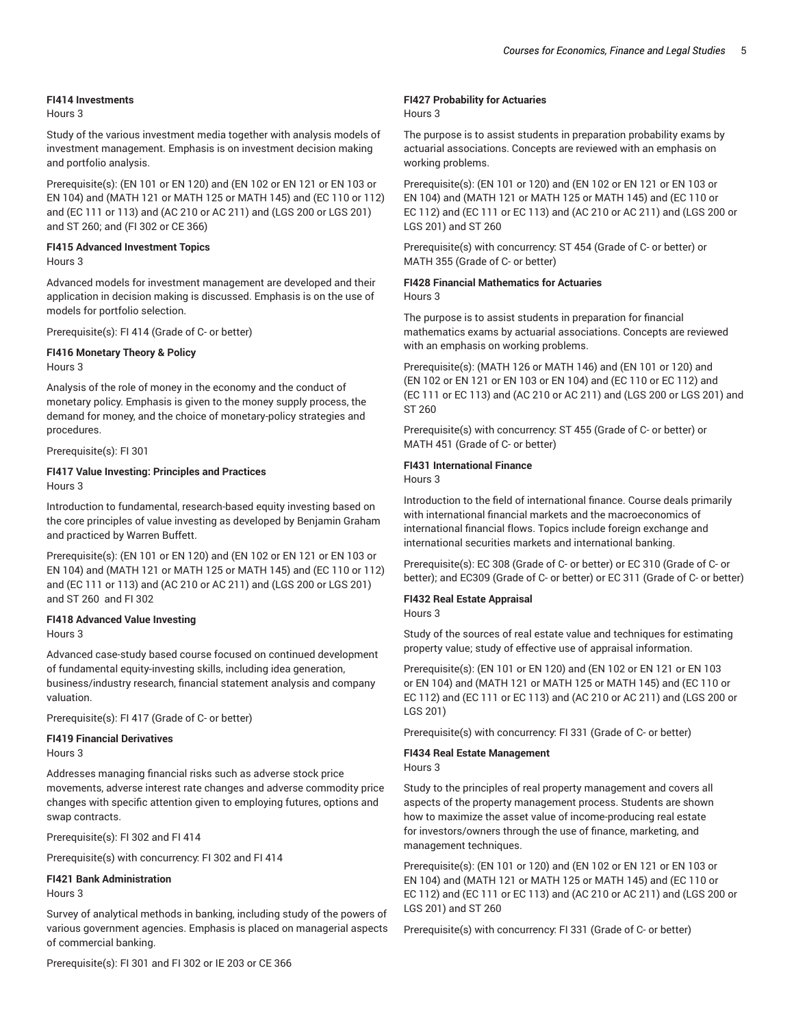#### **FI414 Investments**

Hours 3

Study of the various investment media together with analysis models of investment management. Emphasis is on investment decision making and portfolio analysis.

Prerequisite(s): (EN 101 or EN 120) and (EN 102 or EN 121 or EN 103 or EN 104) and (MATH 121 or MATH 125 or MATH 145) and (EC 110 or 112) and (EC 111 or 113) and (AC 210 or AC 211) and (LGS 200 or LGS 201) and ST 260; and (FI 302 or CE 366)

#### **FI415 Advanced Investment Topics**

Hours 3

Advanced models for investment management are developed and their application in decision making is discussed. Emphasis is on the use of models for portfolio selection.

Prerequisite(s): FI 414 (Grade of C- or better)

#### **FI416 Monetary Theory & Policy**

Hours 3

Analysis of the role of money in the economy and the conduct of monetary policy. Emphasis is given to the money supply process, the demand for money, and the choice of monetary-policy strategies and procedures.

Prerequisite(s): FI 301

#### **FI417 Value Investing: Principles and Practices** Hours 3

Introduction to fundamental, research-based equity investing based on the core principles of value investing as developed by Benjamin Graham and practiced by Warren Buffett.

Prerequisite(s): (EN 101 or EN 120) and (EN 102 or EN 121 or EN 103 or EN 104) and (MATH 121 or MATH 125 or MATH 145) and (EC 110 or 112) and (EC 111 or 113) and (AC 210 or AC 211) and (LGS 200 or LGS 201) and ST 260 and FI 302

### **FI418 Advanced Value Investing**

Hours 3

Advanced case-study based course focused on continued development of fundamental equity-investing skills, including idea generation, business/industry research, financial statement analysis and company valuation.

Prerequisite(s): FI 417 (Grade of C- or better)

#### **FI419 Financial Derivatives**

Hours 3

Addresses managing financial risks such as adverse stock price movements, adverse interest rate changes and adverse commodity price changes with specific attention given to employing futures, options and swap contracts.

Prerequisite(s): FI 302 and FI 414

Prerequisite(s) with concurrency: FI 302 and FI 414

**FI421 Bank Administration** Hours 3

Survey of analytical methods in banking, including study of the powers of various government agencies. Emphasis is placed on managerial aspects of commercial banking.

Prerequisite(s): FI 301 and FI 302 or IE 203 or CE 366

#### **FI427 Probability for Actuaries**

#### Hours 3

The purpose is to assist students in preparation probability exams by actuarial associations. Concepts are reviewed with an emphasis on working problems.

Prerequisite(s): (EN 101 or 120) and (EN 102 or EN 121 or EN 103 or EN 104) and (MATH 121 or MATH 125 or MATH 145) and (EC 110 or EC 112) and (EC 111 or EC 113) and (AC 210 or AC 211) and (LGS 200 or LGS 201) and ST 260

Prerequisite(s) with concurrency: ST 454 (Grade of C- or better) or MATH 355 (Grade of C- or better)

# **FI428 Financial Mathematics for Actuaries**

Hours 3

The purpose is to assist students in preparation for financial mathematics exams by actuarial associations. Concepts are reviewed with an emphasis on working problems.

Prerequisite(s): (MATH 126 or MATH 146) and (EN 101 or 120) and (EN 102 or EN 121 or EN 103 or EN 104) and (EC 110 or EC 112) and (EC 111 or EC 113) and (AC 210 or AC 211) and (LGS 200 or LGS 201) and ST 260

Prerequisite(s) with concurrency: ST 455 (Grade of C- or better) or MATH 451 (Grade of C- or better)

#### **FI431 International Finance**

Hours 3

Introduction to the field of international finance. Course deals primarily with international financial markets and the macroeconomics of international financial flows. Topics include foreign exchange and international securities markets and international banking.

Prerequisite(s): EC 308 (Grade of C- or better) or EC 310 (Grade of C- or better); and EC309 (Grade of C- or better) or EC 311 (Grade of C- or better)

#### **FI432 Real Estate Appraisal**

Hours 3

Study of the sources of real estate value and techniques for estimating property value; study of effective use of appraisal information.

Prerequisite(s): (EN 101 or EN 120) and (EN 102 or EN 121 or EN 103 or EN 104) and (MATH 121 or MATH 125 or MATH 145) and (EC 110 or EC 112) and (EC 111 or EC 113) and (AC 210 or AC 211) and (LGS 200 or LGS 201)

Prerequisite(s) with concurrency: FI 331 (Grade of C- or better)

#### **FI434 Real Estate Management**

#### Hours 3

Study to the principles of real property management and covers all aspects of the property management process. Students are shown how to maximize the asset value of income-producing real estate for investors/owners through the use of finance, marketing, and management techniques.

Prerequisite(s): (EN 101 or 120) and (EN 102 or EN 121 or EN 103 or EN 104) and (MATH 121 or MATH 125 or MATH 145) and (EC 110 or EC 112) and (EC 111 or EC 113) and (AC 210 or AC 211) and (LGS 200 or LGS 201) and ST 260

Prerequisite(s) with concurrency: FI 331 (Grade of C- or better)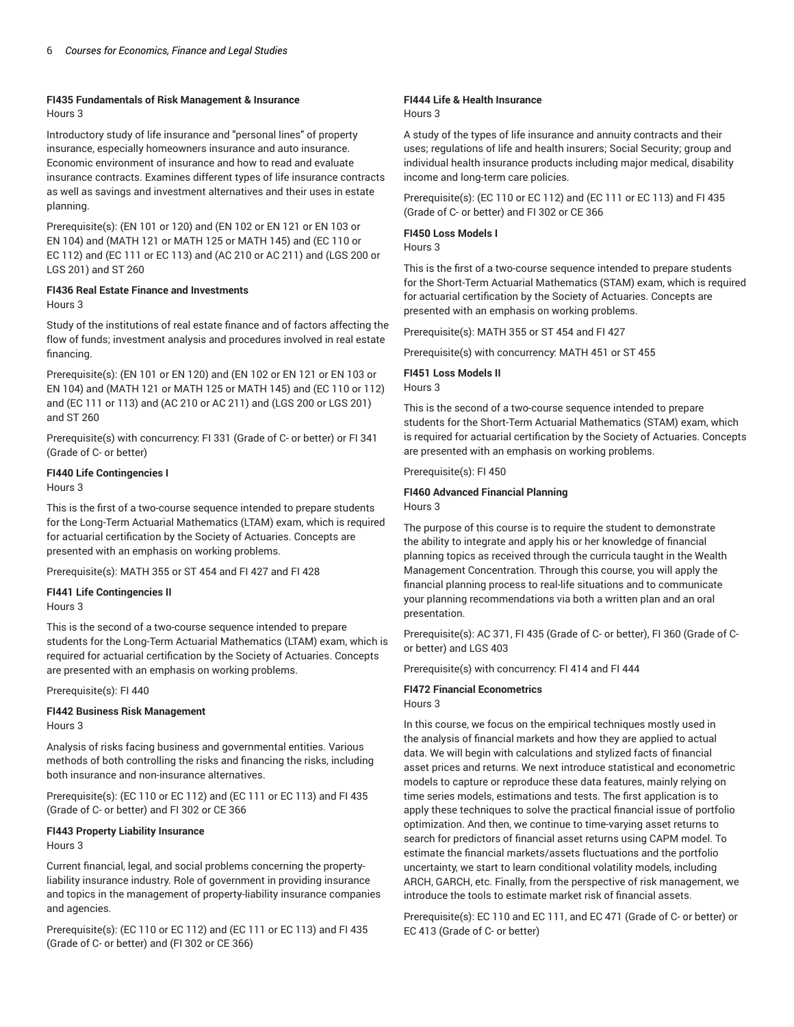#### **FI435 Fundamentals of Risk Management & Insurance** Hours 3

Introductory study of life insurance and "personal lines" of property insurance, especially homeowners insurance and auto insurance. Economic environment of insurance and how to read and evaluate insurance contracts. Examines different types of life insurance contracts as well as savings and investment alternatives and their uses in estate planning.

Prerequisite(s): (EN 101 or 120) and (EN 102 or EN 121 or EN 103 or EN 104) and (MATH 121 or MATH 125 or MATH 145) and (EC 110 or EC 112) and (EC 111 or EC 113) and (AC 210 or AC 211) and (LGS 200 or LGS 201) and ST 260

#### **FI436 Real Estate Finance and Investments**

Hours 3

Study of the institutions of real estate finance and of factors affecting the flow of funds; investment analysis and procedures involved in real estate financing.

Prerequisite(s): (EN 101 or EN 120) and (EN 102 or EN 121 or EN 103 or EN 104) and (MATH 121 or MATH 125 or MATH 145) and (EC 110 or 112) and (EC 111 or 113) and (AC 210 or AC 211) and (LGS 200 or LGS 201) and ST 260

Prerequisite(s) with concurrency: FI 331 (Grade of C- or better) or FI 341 (Grade of C- or better)

### **FI440 Life Contingencies I**

Hours 3

This is the first of a two-course sequence intended to prepare students for the Long-Term Actuarial Mathematics (LTAM) exam, which is required for actuarial certification by the Society of Actuaries. Concepts are presented with an emphasis on working problems.

Prerequisite(s): MATH 355 or ST 454 and FI 427 and FI 428

**FI441 Life Contingencies II**

Hours 3

This is the second of a two-course sequence intended to prepare students for the Long-Term Actuarial Mathematics (LTAM) exam, which is required for actuarial certification by the Society of Actuaries. Concepts are presented with an emphasis on working problems.

Prerequisite(s): FI 440

#### **FI442 Business Risk Management** Hours 3

Analysis of risks facing business and governmental entities. Various methods of both controlling the risks and financing the risks, including both insurance and non-insurance alternatives.

Prerequisite(s): (EC 110 or EC 112) and (EC 111 or EC 113) and FI 435 (Grade of C- or better) and FI 302 or CE 366

# **FI443 Property Liability Insurance**

Hours 3

Current financial, legal, and social problems concerning the propertyliability insurance industry. Role of government in providing insurance and topics in the management of property-liability insurance companies and agencies.

Prerequisite(s): (EC 110 or EC 112) and (EC 111 or EC 113) and FI 435 (Grade of C- or better) and (FI 302 or CE 366)

### **FI444 Life & Health Insurance**

Hours 3

A study of the types of life insurance and annuity contracts and their uses; regulations of life and health insurers; Social Security; group and individual health insurance products including major medical, disability income and long-term care policies.

Prerequisite(s): (EC 110 or EC 112) and (EC 111 or EC 113) and FI 435 (Grade of C- or better) and FI 302 or CE 366

## **FI450 Loss Models I**

Hours 3

This is the first of a two-course sequence intended to prepare students for the Short-Term Actuarial Mathematics (STAM) exam, which is required for actuarial certification by the Society of Actuaries. Concepts are presented with an emphasis on working problems.

Prerequisite(s): MATH 355 or ST 454 and FI 427

Prerequisite(s) with concurrency: MATH 451 or ST 455

### **FI451 Loss Models II**

Hours 3

This is the second of a two-course sequence intended to prepare students for the Short-Term Actuarial Mathematics (STAM) exam, which is required for actuarial certification by the Society of Actuaries. Concepts are presented with an emphasis on working problems.

Prerequisite(s): FI 450

# **FI460 Advanced Financial Planning**

Hours 3

The purpose of this course is to require the student to demonstrate the ability to integrate and apply his or her knowledge of financial planning topics as received through the curricula taught in the Wealth Management Concentration. Through this course, you will apply the financial planning process to real-life situations and to communicate your planning recommendations via both a written plan and an oral presentation.

Prerequisite(s): AC 371, FI 435 (Grade of C- or better), FI 360 (Grade of Cor better) and LGS 403

Prerequisite(s) with concurrency: FI 414 and FI 444

### **FI472 Financial Econometrics**

#### Hours 3

In this course, we focus on the empirical techniques mostly used in the analysis of financial markets and how they are applied to actual data. We will begin with calculations and stylized facts of financial asset prices and returns. We next introduce statistical and econometric models to capture or reproduce these data features, mainly relying on time series models, estimations and tests. The first application is to apply these techniques to solve the practical financial issue of portfolio optimization. And then, we continue to time-varying asset returns to search for predictors of financial asset returns using CAPM model. To estimate the financial markets/assets fluctuations and the portfolio uncertainty, we start to learn conditional volatility models, including ARCH, GARCH, etc. Finally, from the perspective of risk management, we introduce the tools to estimate market risk of financial assets.

Prerequisite(s): EC 110 and EC 111, and EC 471 (Grade of C- or better) or EC 413 (Grade of C- or better)